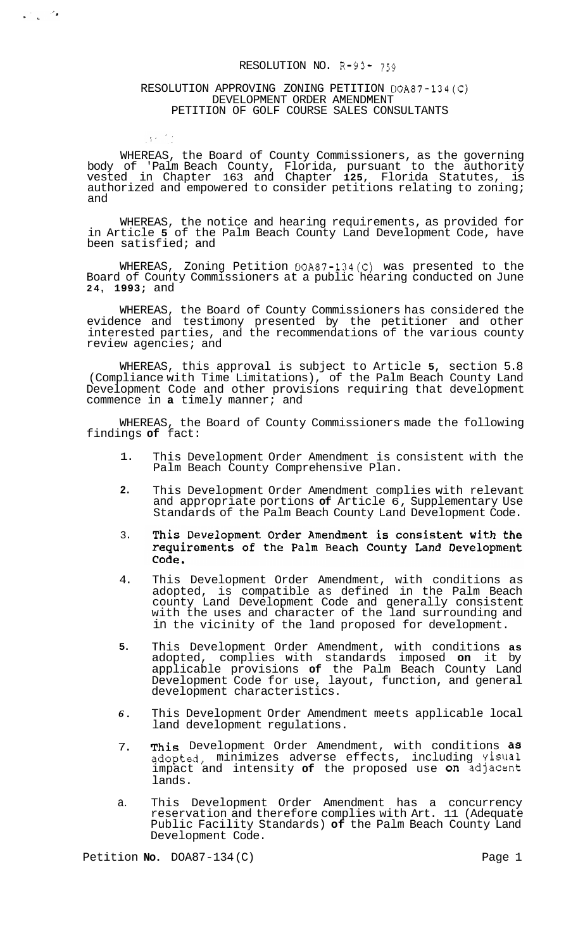#### RESOLUTION NO. R-93- 759

# RESOLUTION APPROVING ZONING PETITION DOA87-134(C) DEVELOPMENT ORDER AMENDMENT PETITION OF GOLF COURSE SALES CONSULTANTS

 $\frac{1}{\sqrt{2}}\frac{1}{\sqrt{2}}\frac{d\omega}{d\omega}$ 

 $\pm 3.2\pm 2.1$ 

WHEREAS, the Board of County Commissioners, as the governing body of 'Palm Beach County, Florida, pursuant to the authority vested in Chapter 163 and Chapter **125,** Florida Statutes, is authorized and empowered to consider petitions relating to zoning; and

WHEREAS, the notice and hearing requirements, as provided for in Article **5** of the Palm Beach County Land Development Code, have been satisfied; and

WHEREAS, Zoning Petition DOA87-134(C) was presented to the Board of County Commissioners at a public hearing conducted on June **24, 1993;** and

WHEREAS, the Board of County Commissioners has considered the evidence and testimony presented by the petitioner and other interested parties, and the recommendations of the various county review agencies; and

WHEREAS, this approval is subject to Article **5,** section 5.8 (Compliance with Time Limitations), of the Palm Beach County Land Development Code and other provisions requiring that development commence in **a** timely manner; and

WHEREAS, the Board of County Commissioners made the following findings **of** fact:

- 1. This Development Order Amendment is consistent with the Palm Beach County Comprehensive Plan.
- **2.**  This Development Order Amendment complies with relevant and appropriate portions **of** Article 6, Supplementary Use Standards of the Palm Beach County Land Development Code.
- 3. This Development Order Amendment is consistent with the requirements of the Palm Beach County Land Development Code.
- 4. This Development Order Amendment, with conditions as adopted, is compatible as defined in the Palm Beach county Land Development Code and generally consistent with the uses and character of the land surrounding and in the vicinity of the land proposed for development.
- **5.**  This Development Order Amendment, with conditions **as**  adopted, complies with standards imposed **on** it by applicable provisions **of** the Palm Beach County Land Development Code for use, layout, function, and general development characteristics.
- *6.*  This Development Order Amendment meets applicable local land development regulations.
- 7. This Development Order Amendment, with conditions as adopted, minimizes adverse effects, including visual impact and intensity **of** the proposed use On adjacent lands.
- a. This Development Order Amendment has a concurrency reservation and therefore complies with Art. 11 (Adequate Public Facility Standards) **of** the Palm Beach County Land Development Code.

Petition **No.** DOA87-134 (C) Page 1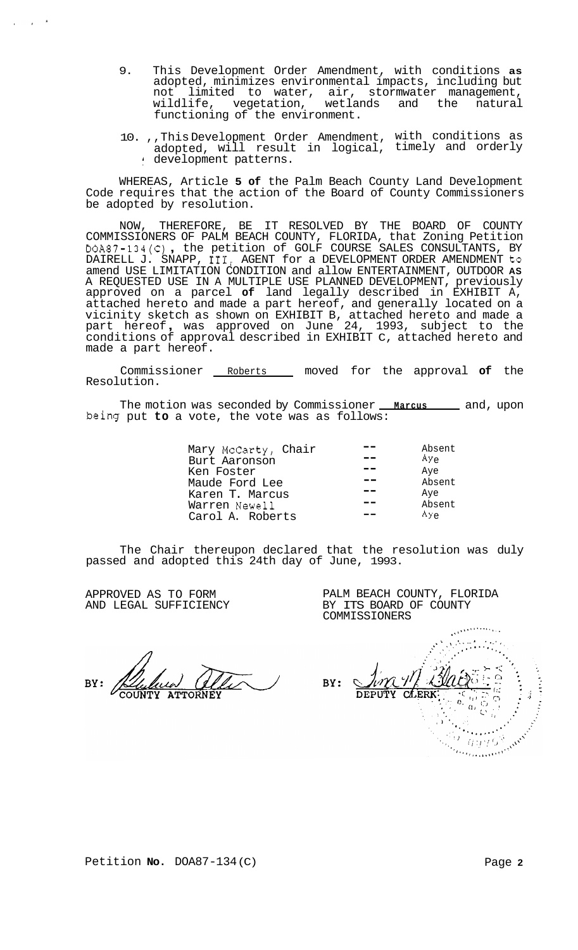- 9. This Development Order Amendment, with conditions **as**  adopted, minimizes environmental impacts, including but not limited to water, air, stormwater management, wetlands and the natural functioning of the environment.
- 10. ,,This Development Order Amendment, with conditions as adopted, will result in logical, timely and orderly : development patterns.

WHEREAS, Article **5 of** the Palm Beach County Land Development Code requires that the action of the Board of County Commissioners be adopted by resolution.

NOW, THEREFORE, BE IT RESOLVED BY THE BOARD OF COUNTY COMMISSIONERS OF PALM BEACH COUNTY, FLORIDA, that Zoning Petition DOA87-134(C) , the petition of GOLF COURSE SALES CONSULTANTS, BY DAIRELL J. SNAPP, 111, AGENT for a DEVELOPMENT ORDER AMENDMENT to amend USE LIMITATION CONDITION and allow ENTERTAINMENT, OUTDOOR **AS**  A REQUESTED USE IN A MULTIPLE USE PLANNED DEVELOPMENT, previously approved on a parcel **of** land legally described in EXHIBIT A, attached hereto and made a part hereof, and generally located on a vicinity sketch as shown on EXHIBIT B, attached hereto and made a part hereof , was approved on June 24, 1993, subject to the conditions of approval described in EXHIBIT C, attached hereto and made a part hereof.

Commissioner Roberts moved for the approval **of** the Resolution.

The motion was seconded by Commissioner **Marcus** 2nd, upon being put **to** a vote, the vote was as follows:

|                     | Absent        |
|---------------------|---------------|
| Mary McCarty, Chair |               |
| Burt Aaronson       | $Ay_{\alpha}$ |
| Ken Foster          | Aye           |
| Maude Ford Lee      | Absent        |
| Karen T. Marcus     | Aye           |
| Warren Newell       | Absent        |
| Carol A. Roberts    | ÅYe           |

The Chair thereupon declared that the resolution was duly passed and adopted this 24th day of June, 1993.

APPROVED AS TO FORM AND LEGAL SUFFICIENCY

 $\sim$ 

PALM BEACH COUNTY, FLORIDA BY ITS BOARD OF COUNTY COMMISSIONERS

BY:

.% , ... ' ' . : **\*,,.,4u\*'-'+..,,**   $BY:$ **CLERK**  $\mathbb{C}$  $\Omega$  $\alpha$  $\mathcal{L}$ Communication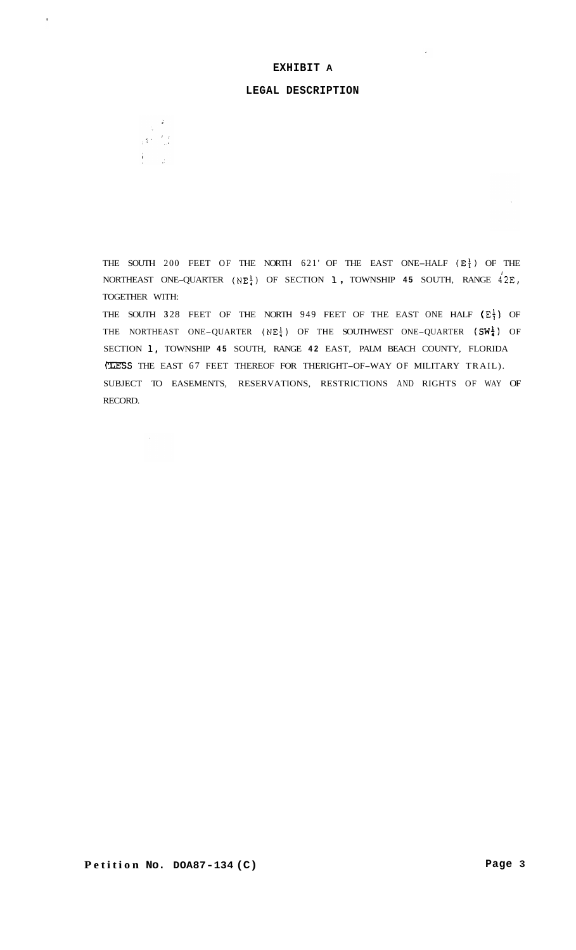# **EXHIBIT A**

#### **LEGAL DESCRIPTION**



 $\hat{\mathcal{A}}$ 

 $\frac{1}{\sqrt{2}}$ 

THE SOUTH 200 FEET OF THE NORTH 621' OF THE EAST ONE-HALF  $(E_1^1)$  OF THE NORTHEAST ONE-QUARTER  $(NE_{\frac{1}{2}}^{\frac{1}{2}})$  OF SECTION 1, TOWNSHIP 45 SOUTH, RANGE  $4^{'}2E$ , TOGETHER WITH:

THE SOUTH 328 FEET OF THE NORTH 949 FEET OF THE EAST ONE HALF  $(\mathbb{E}^1)$  OF THE NORTHEAST ONE-QUARTER (NE<sup>1</sup>) OF THE SOUTHWEST ONE-QUARTER (SW<sup>1</sup>) OF SECTION **1,** TOWNSHIP **45** SOUTH, RANGE **42** EAST, PALM BEACH COUNTY, FLORIDA **TLESS** THE EAST 67 FEET THEREOF FOR THERIGHT-OF-WAY OF MILITARY TRAIL). SUBJECT TO EASEMENTS, RESERVATIONS, RESTRICTIONS AND RIGHTS OF WAY OF RECORD.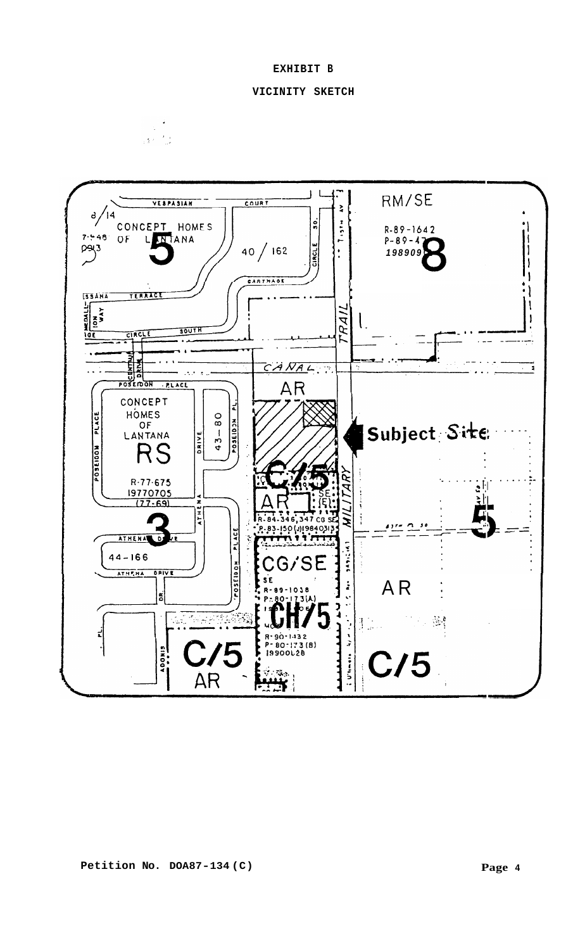

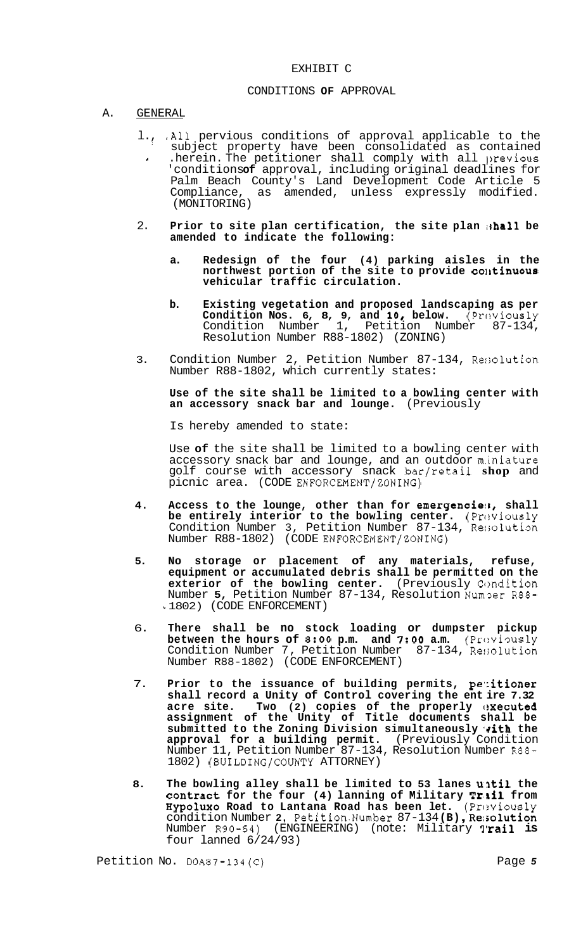### EXHIBIT C

## CONDITIONS **OF** APPROVAL

#### A. GENERAL

- l., ,All pervious conditions of approval applicable to the ' subject property have been consolidated as contained *<sup>1</sup>*.herein. The petitioner shall comply with all lrevious 'conditions**of** approval, including original deadlines for Palm Beach County's Land Development Code Article 5 Compliance, as amended, unless expressly modified. (MONITORING)
- 2. **Prior to site plan certification, the site plan ishall be amended to indicate the following:** 
	- **a. Redesign of the four (4) parking aisles in the northwest portion of the site to provide colrtinuous vehicular traffic circulation.**
	- **b. Existing vegetation and proposed landscaping as per Condition Nos. 6, 8, 9, and 10, below.** (Previously Condition Number 1, Petition Number 87-134, Resolution Number R88-1802) (ZONING)
- 3. Condition Number 2, Petition Number 87-134, Re:;olution Number R88-1802, which currently states:

**Use of the site shall be limited to a bowling center with an accessory snack bar and lounge.** (Previously

Is hereby amended to state:

Use **of** the site shall be limited to a bowling center with accessory snack bar and lounge, and an outdoor m.iniature golf course with accessory snack bar/retail **shop** and picnic area. (CODE ENFORCEMENT/ZONING)

- 4. Access to the lounge, other than for emergencies, shall **be entirely interior to the bowling center.** (Previously Condition Number 3, Petition Number 87-134, Resolution Number R88-1802) (CODE ENFORCEMENT/ZONING)
- **5. No storage or placement of any materials, refuse, equipment or accumulated debris shall be permitted on the exterior of the bowling center.** (Previously Condition Number 5, Petition Number 87-134, Resolution Number R88-*<sup>L</sup>*1802) (CODE ENFORCEMENT)
- 6. **There shall be no stock loading or dumpster pickup between the hours of 8:00 p.m. and 7:00 a.m.** (Previously Condition Number 7, Petition Number 87-134, Resolution Number R88-1802) (CODE ENFORCEMENT)
- 7. **Prior to the issuance of building permits, pe';itioner shall record a Unity of Control covering the ent ire 7.32**  acre site. Two (2) copies of the properly executed **assignment of the Unity of Title documents shall be**  submitted to the Zoning Division simultaneously vith the **approval for a building permit.** (Previously Condition Number 11, Petition Number 87-134, Resolution Number R88- 1802) (BUILDING/COUNTY ATTORNEY)
- 8. The bowling alley shall be limited to 53 lanes until the contract for the four (4) lanning of Military Trill from Hypoluxo Road to Lantana Road has been let. (Previously condition Number **2,** Petition.Number 87-134 **(B)** , **Rer;olution**  Number R90-54) (ENGINEERING) (note: Military **tl'rail is**  four lanned 6/24/93)

Petition No. 00A87-134(C) Page 5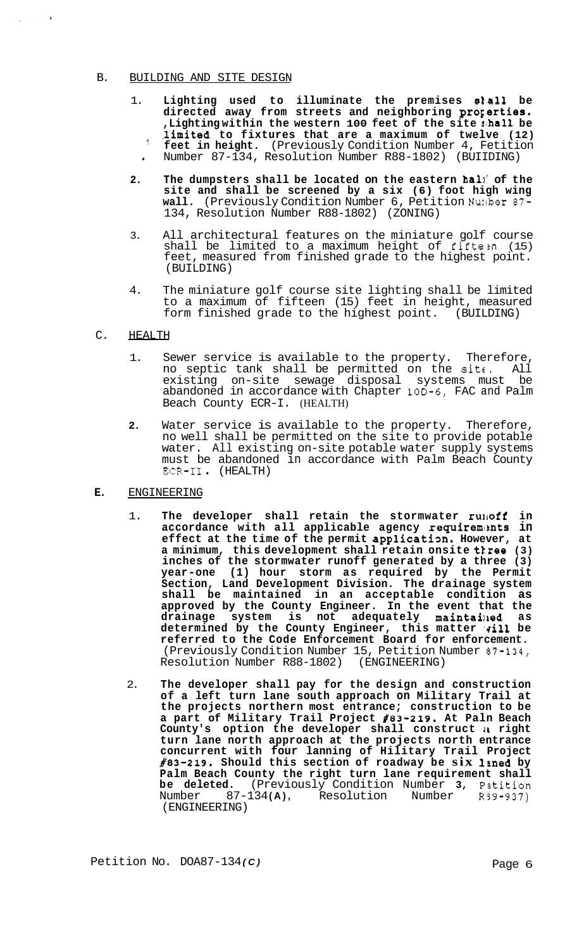#### B. BUILDING AND SITE DESIGN

- 1. **Lighting used to illuminate the premises s1.all be**  directed away from streets and neighboring **properties. ,Lighting within the western 100 feet of the site rihall be ,l,imited to fixtures that are a maximum of twelve (12) feet in height.** (Previously Condition Number 4, Fetition *<sup>l</sup>*Number 87-134, Resolution Number R88-1802) (BUIIDING)
- **2. The dumpsters shall be located on the eastern hall! of the site and shall be screened by a six (6) foot high wing wall.** (Previously Condition Number 6, Petition Nurlber 87- 134, Resolution Number R88-1802) (ZONING)
- 3. All architectural features on the miniature golf course shall be limited to a maximum height of fifte:n (15) feet, measured from finished grade to the highest point. (BUILDING)
- 4. The miniature golf course site lighting shall be limited to a maximum of fifteen (15) feet in height, measured form finished grade to the highest point. (BUILDING)

## C. HEALTH

 $\sim$   $\lambda$ 

- 1. Sewer service is available to the property. Therefore, no septic tank shall be permitted on the  $s$ it $\ldots$  All existing on-site sewage disposal systems must be abandoned in accordance with Chapter 10D-6, FAC and Palm Beach County ECR-I. (HEALTH)
- **2.** Water service is available to the property. Therefore, no well shall be permitted on the site to provide potable water. All existing on-site potable water supply systems must be abandoned in accordance with Palm Beach County ECR-I1 . (HEALTH)

## **E.** ENGINEERING

- 1. The developer shall retain the stormwater runoff in accordance with all applicable agency requirements in effect at the time of the permit application. However, at **a minimum, this development shall retain onsite ttree (3) inches of the stormwater runoff generated by a three (3) year-one (1) hour storm as required by the Permit Section, Land Development Division. The drainage system shall be maintained in an acceptable condition as approved by the County Engineer. In the event that the drainage system is not adequately maintailled as**  determined by the County Engineer, this matter vill be **referred to the Code Enforcement Board for enforcement.**  (Previously Condition Number 15, Petition Number 57-134, Resolution Number R88-1802) (ENGINEERING)
- 2. **The developer shall pay for the design and construction of a left turn lane south approach on Military Trail at the projects northern most entrance; construction to be a part of Military Trail Project #83-219. At Paln Beach County's option the developer shall construct** *11* **right turn lane north approach at the projects north entrance concurrent with four lanning of Hilitary Trail Project #83-219. Should this section of roadway be six lrned by Palm Beach County the right turn lane requirement shall be deleted.** (Previously Condition Number **3,** Pztition Number 87-134 **(A),** Resolution Number R39-937) Number 87-134(A),<br>(ENGINEERING)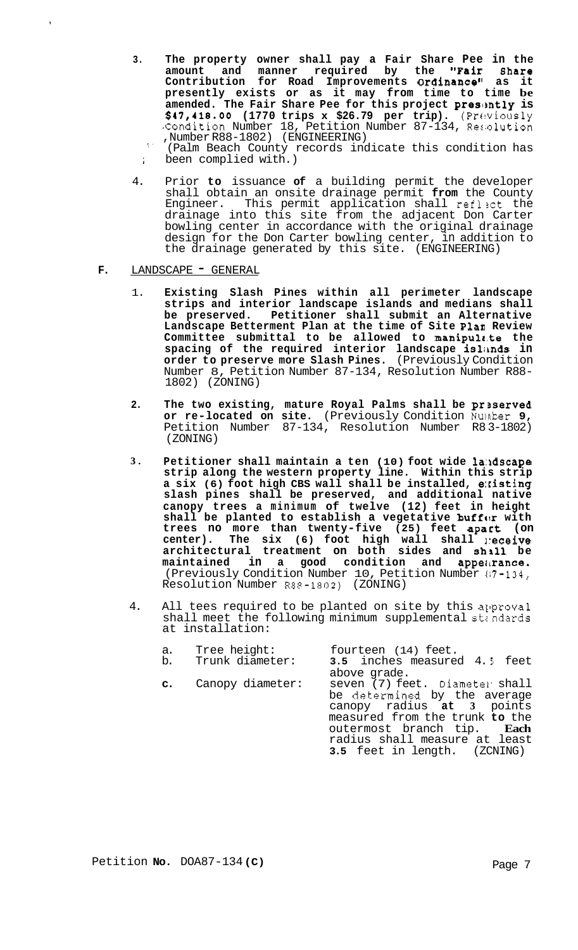- **3. The property owner shall pay a Fair Share Pee in the amount and manner required by the "Pair Bhare**  Contribution for Road Improvements O**rdinance**" as it **presently exists or as it may from time to time be amended. The Fair Share Pee for this project preslrntly is \$47,418.00 (1770 trips x \$26.79 per trip).** (Prt!viously Condition Number 18, Petition Number 87-134, Resolution ,Number R88-1802) (ENGINEERING)
	- *<sup>I</sup>'* (Palm Beach County records indicate this condition has ; been complied with.)
- 4. Prior **to** issuance **of** a building permit the developer shall obtain an onsite drainage permit **from** the County This permit application shall reflect the drainage into this site from the adjacent Don Carter bowling center in accordance with the original drainage design for the Don Carter bowling center, in addition to the drainage generated by this site. (ENGINEERING)
- F. LANDSCAPE GENERAL
	- 1. **Existing Slash Pines within all perimeter landscape strips and interior landscape islands and medians shall be preserved. Petitioner shall submit an Alternative Landscape Betterment Plan at the time of Site Plan Review Committee submittal to be allowed to manipulr,te the spacing of the required interior landscape islimds in order to preserve more Slash Pines.** (Previously Condition Number 8, Petition Number 87-134, Resolution Number R88- 1802) (ZONING)
	- **2. The two existing, mature Royal Palms shall be prserved or re-located on site.** (Previously Condition Nuinber **9,**  Petition Number 87-134, Resolution Number R8 3-1802) (ZONING)
	- **3. Petitioner shall maintain a ten (10) foot wide 1a:ldscape strip along the western property line. Within this strip a six (6) foot high CBS wall shall be installed, e:risting slash pines shall be preserved, and additional native canopy trees a minimum of twelve (12) feet in height**  shall be planted to establish a vegetative buffar with **trees no more than twenty-five (25) feet apart (on center). The six (6) foot high wall shall ]receive architectural treatment on both sides and sh511 be maintained in a good condition and appeimance.**  (Previously Condition Number 10, Petition Number 117-134, Resolution Number R8P-1802) (ZONING)
	- 4. All tees required to be planted on site by this approval shall meet the following minimum supplemental standards at installation:

| a.<br>b. | Tree height:<br>Trunk diameter: | fourteen (14) feet.<br>3.5 inches measured 4.5 feet                                                                                                                                                                          |
|----------|---------------------------------|------------------------------------------------------------------------------------------------------------------------------------------------------------------------------------------------------------------------------|
|          |                                 | above grade.                                                                                                                                                                                                                 |
|          | <b>c.</b> Canopy diameter:      | seven (7) feet. Diameter shall<br>be determined by the average<br>canopy radius at 3 points<br>measured from the trunk to the<br>outermost branch tip. Each<br>radius shall measure at least<br>3.5 feet in length. (ZCNING) |